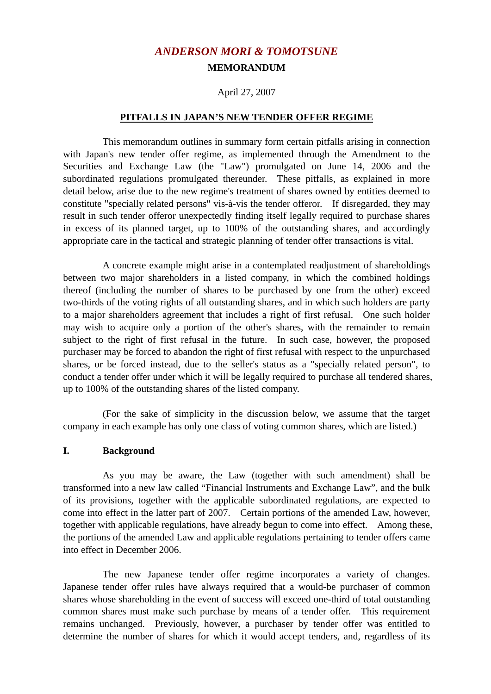# *ANDERSON MORI & TOMOTSUNE* **MEMORANDUM**

### April 27, 2007

#### **PITFALLS IN JAPAN'S NEW TENDER OFFER REGIME**

 This memorandum outlines in summary form certain pitfalls arising in connection with Japan's new tender offer regime, as implemented through the Amendment to the Securities and Exchange Law (the "Law") promulgated on June 14, 2006 and the subordinated regulations promulgated thereunder. These pitfalls, as explained in more detail below, arise due to the new regime's treatment of shares owned by entities deemed to constitute "specially related persons" vis-à-vis the tender offeror. If disregarded, they may result in such tender offeror unexpectedly finding itself legally required to purchase shares in excess of its planned target, up to 100% of the outstanding shares, and accordingly appropriate care in the tactical and strategic planning of tender offer transactions is vital.

 A concrete example might arise in a contemplated readjustment of shareholdings between two major shareholders in a listed company, in which the combined holdings thereof (including the number of shares to be purchased by one from the other) exceed two-thirds of the voting rights of all outstanding shares, and in which such holders are party to a major shareholders agreement that includes a right of first refusal. One such holder may wish to acquire only a portion of the other's shares, with the remainder to remain subject to the right of first refusal in the future. In such case, however, the proposed purchaser may be forced to abandon the right of first refusal with respect to the unpurchased shares, or be forced instead, due to the seller's status as a "specially related person", to conduct a tender offer under which it will be legally required to purchase all tendered shares, up to 100% of the outstanding shares of the listed company.

 (For the sake of simplicity in the discussion below, we assume that the target company in each example has only one class of voting common shares, which are listed.)

#### **I. Background**

 As you may be aware, the Law (together with such amendment) shall be transformed into a new law called "Financial Instruments and Exchange Law", and the bulk of its provisions, together with the applicable subordinated regulations, are expected to come into effect in the latter part of 2007. Certain portions of the amended Law, however, together with applicable regulations, have already begun to come into effect. Among these, the portions of the amended Law and applicable regulations pertaining to tender offers came into effect in December 2006.

 The new Japanese tender offer regime incorporates a variety of changes. Japanese tender offer rules have always required that a would-be purchaser of common shares whose shareholding in the event of success will exceed one-third of total outstanding common shares must make such purchase by means of a tender offer. This requirement remains unchanged. Previously, however, a purchaser by tender offer was entitled to determine the number of shares for which it would accept tenders, and, regardless of its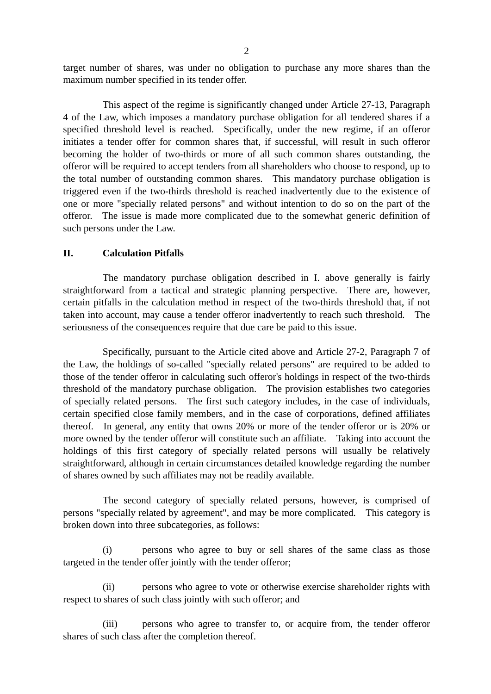target number of shares, was under no obligation to purchase any more shares than the maximum number specified in its tender offer.

 This aspect of the regime is significantly changed under Article 27-13, Paragraph 4 of the Law, which imposes a mandatory purchase obligation for all tendered shares if a specified threshold level is reached. Specifically, under the new regime, if an offeror initiates a tender offer for common shares that, if successful, will result in such offeror becoming the holder of two-thirds or more of all such common shares outstanding, the offeror will be required to accept tenders from all shareholders who choose to respond, up to the total number of outstanding common shares. This mandatory purchase obligation is triggered even if the two-thirds threshold is reached inadvertently due to the existence of one or more "specially related persons" and without intention to do so on the part of the offeror. The issue is made more complicated due to the somewhat generic definition of such persons under the Law.

#### **II. Calculation Pitfalls**

 The mandatory purchase obligation described in I. above generally is fairly straightforward from a tactical and strategic planning perspective. There are, however, certain pitfalls in the calculation method in respect of the two-thirds threshold that, if not taken into account, may cause a tender offeror inadvertently to reach such threshold. The seriousness of the consequences require that due care be paid to this issue.

 Specifically, pursuant to the Article cited above and Article 27-2, Paragraph 7 of the Law, the holdings of so-called "specially related persons" are required to be added to those of the tender offeror in calculating such offeror's holdings in respect of the two-thirds threshold of the mandatory purchase obligation. The provision establishes two categories of specially related persons. The first such category includes, in the case of individuals, certain specified close family members, and in the case of corporations, defined affiliates thereof. In general, any entity that owns 20% or more of the tender offeror or is 20% or more owned by the tender offeror will constitute such an affiliate. Taking into account the holdings of this first category of specially related persons will usually be relatively straightforward, although in certain circumstances detailed knowledge regarding the number of shares owned by such affiliates may not be readily available.

 The second category of specially related persons, however, is comprised of persons "specially related by agreement", and may be more complicated. This category is broken down into three subcategories, as follows:

 (i) persons who agree to buy or sell shares of the same class as those targeted in the tender offer jointly with the tender offeror;

 (ii) persons who agree to vote or otherwise exercise shareholder rights with respect to shares of such class jointly with such offeror; and

 (iii) persons who agree to transfer to, or acquire from, the tender offeror shares of such class after the completion thereof.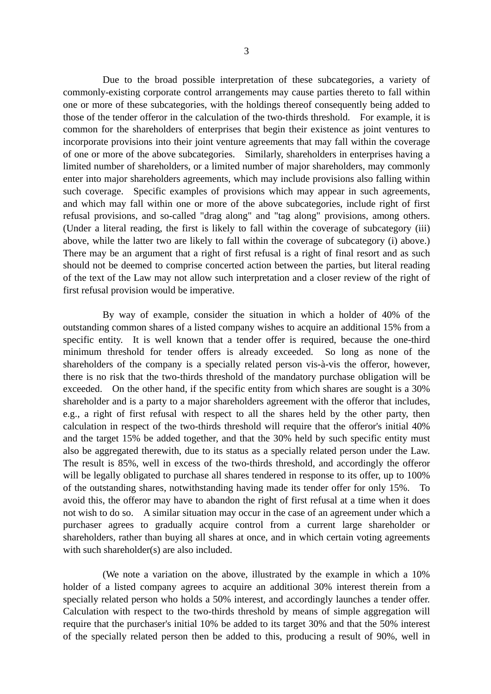Due to the broad possible interpretation of these subcategories, a variety of commonly-existing corporate control arrangements may cause parties thereto to fall within one or more of these subcategories, with the holdings thereof consequently being added to those of the tender offeror in the calculation of the two-thirds threshold. For example, it is common for the shareholders of enterprises that begin their existence as joint ventures to incorporate provisions into their joint venture agreements that may fall within the coverage of one or more of the above subcategories. Similarly, shareholders in enterprises having a limited number of shareholders, or a limited number of major shareholders, may commonly enter into major shareholders agreements, which may include provisions also falling within such coverage. Specific examples of provisions which may appear in such agreements, and which may fall within one or more of the above subcategories, include right of first refusal provisions, and so-called "drag along" and "tag along" provisions, among others. (Under a literal reading, the first is likely to fall within the coverage of subcategory (iii) above, while the latter two are likely to fall within the coverage of subcategory (i) above.) There may be an argument that a right of first refusal is a right of final resort and as such should not be deemed to comprise concerted action between the parties, but literal reading of the text of the Law may not allow such interpretation and a closer review of the right of first refusal provision would be imperative.

 By way of example, consider the situation in which a holder of 40% of the outstanding common shares of a listed company wishes to acquire an additional 15% from a specific entity. It is well known that a tender offer is required, because the one-third minimum threshold for tender offers is already exceeded. So long as none of the shareholders of the company is a specially related person vis-à-vis the offeror, however, there is no risk that the two-thirds threshold of the mandatory purchase obligation will be exceeded. On the other hand, if the specific entity from which shares are sought is a 30% shareholder and is a party to a major shareholders agreement with the offeror that includes, e.g., a right of first refusal with respect to all the shares held by the other party, then calculation in respect of the two-thirds threshold will require that the offeror's initial 40% and the target 15% be added together, and that the 30% held by such specific entity must also be aggregated therewith, due to its status as a specially related person under the Law. The result is 85%, well in excess of the two-thirds threshold, and accordingly the offeror will be legally obligated to purchase all shares tendered in response to its offer, up to 100% of the outstanding shares, notwithstanding having made its tender offer for only 15%. To avoid this, the offeror may have to abandon the right of first refusal at a time when it does not wish to do so. A similar situation may occur in the case of an agreement under which a purchaser agrees to gradually acquire control from a current large shareholder or shareholders, rather than buying all shares at once, and in which certain voting agreements with such shareholder(s) are also included.

 (We note a variation on the above, illustrated by the example in which a 10% holder of a listed company agrees to acquire an additional 30% interest therein from a specially related person who holds a 50% interest, and accordingly launches a tender offer. Calculation with respect to the two-thirds threshold by means of simple aggregation will require that the purchaser's initial 10% be added to its target 30% and that the 50% interest of the specially related person then be added to this, producing a result of 90%, well in